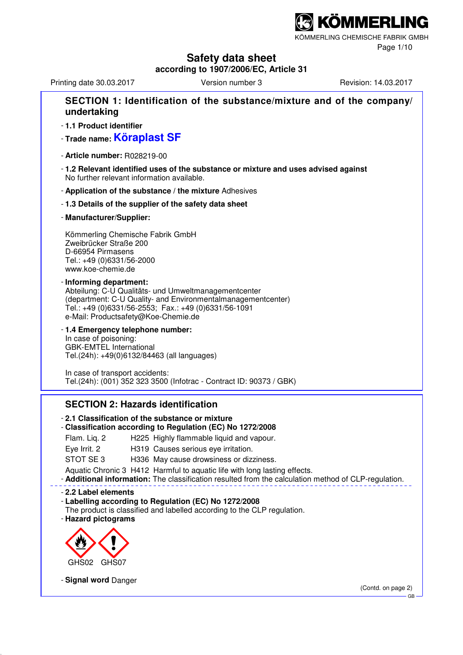## **(ÖMMERLING**

KÖMMERLING CHEMISCHE FABRIK GMBH

Page 1/10

## **Safety data sheet**

**according to 1907/2006/EC, Article 31**

Printing date 30.03.2017 **Version number 3** Revision: 14.03.2017

#### **SECTION 1: Identification of the substance/mixture and of the company/ undertaking** - **1.1 Product identifier** - **Trade name: Köraplast SF** - **Article number:** R028219-00 - **1.2 Relevant identified uses of the substance or mixture and uses advised against** No further relevant information available. - **Application of the substance / the mixture** Adhesives - **1.3 Details of the supplier of the safety data sheet** - **Manufacturer/Supplier:** Kömmerling Chemische Fabrik GmbH Zweibrücker Straße 200 D-66954 Pirmasens Tel.: +49 (0)6331/56-2000 www.koe-chemie.de - **Informing department:** Abteilung: C-U Qualitäts- und Umweltmanagementcenter (department: C-U Quality- and Environmentalmanagementcenter) Tel.: +49 (0)6331/56-2553; Fax.: +49 (0)6331/56-1091 e-Mail: Productsafety@Koe-Chemie.de - **1.4 Emergency telephone number:** In case of poisoning: GBK-EMTEL International Tel.(24h): +49(0)6132/84463 (all languages) In case of transport accidents: Tel.(24h): (001) 352 323 3500 (Infotrac - Contract ID: 90373 / GBK)

#### **SECTION 2: Hazards identification**

#### - **2.1 Classification of the substance or mixture**

#### - **Classification according to Regulation (EC) No 1272/2008**

- Flam. Liq. 2 H225 Highly flammable liquid and vapour.
- Eye Irrit. 2 H319 Causes serious eye irritation.
- STOT SE 3 H336 May cause drowsiness or dizziness.

Aquatic Chronic 3 H412 Harmful to aquatic life with long lasting effects.

- **Additional information:** The classification resulted from the calculation method of CLP-regulation.

- **2.2 Label elements**

#### - **Labelling according to Regulation (EC) No 1272/2008**

The product is classified and labelled according to the CLP regulation. - **Hazard pictograms**



- **Signal word** Danger

(Contd. on page 2) GB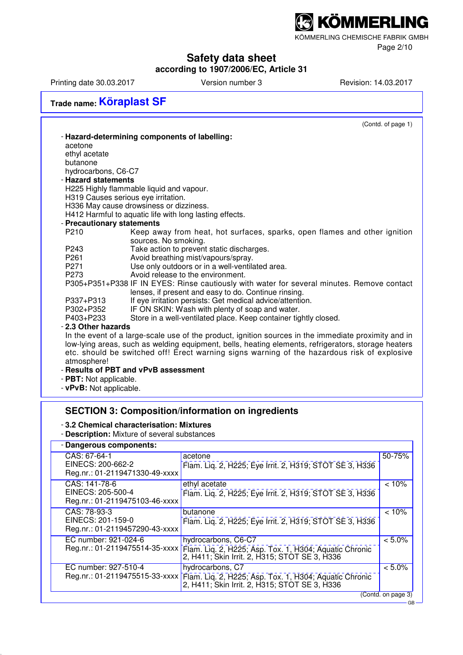KÖMMERLING CHEMISCHE FABRIK GMBH

Page 2/10

## **Safety data sheet**

**according to 1907/2006/EC, Article 31**

Printing date 30.03.2017 Version number 3 Revision: 14.03.2017

## **Trade name: Köraplast SF**

|                            | (Contd. of page 1)                                                                                   |
|----------------------------|------------------------------------------------------------------------------------------------------|
|                            | - Hazard-determining components of labelling:                                                        |
| acetone                    |                                                                                                      |
| ethyl acetate              |                                                                                                      |
| butanone                   |                                                                                                      |
| hydrocarbons, C6-C7        |                                                                                                      |
| - Hazard statements        |                                                                                                      |
|                            | H225 Highly flammable liquid and vapour.                                                             |
|                            | H319 Causes serious eye irritation.                                                                  |
|                            | H336 May cause drowsiness or dizziness.                                                              |
|                            | H412 Harmful to aquatic life with long lasting effects.                                              |
| - Precautionary statements |                                                                                                      |
| P210                       | Keep away from heat, hot surfaces, sparks, open flames and other ignition<br>sources. No smoking.    |
| P243                       | Take action to prevent static discharges.                                                            |
| P <sub>261</sub>           | Avoid breathing mist/vapours/spray.                                                                  |
| P271                       | Use only outdoors or in a well-ventilated area.                                                      |
| P <sub>273</sub>           | Avoid release to the environment.                                                                    |
|                            | P305+P351+P338 IF IN EYES: Rinse cautiously with water for several minutes. Remove contact           |
|                            | lenses, if present and easy to do. Continue rinsing.                                                 |
| P337+P313                  | If eye irritation persists: Get medical advice/attention.                                            |
| P302+P352                  | IF ON SKIN: Wash with plenty of soap and water.                                                      |
| P403+P233                  | Store in a well-ventilated place. Keep container tightly closed.                                     |
| - 2.3 Other hazards        |                                                                                                      |
|                            | In the event of a large-scale use of the product, ignition sources in the immediate proximity and in |
|                            | low-lying areas, such as welding equipment, bells, heating elements, refrigerators, storage heaters  |
| atmosphere!                | etc. should be switched off! Erect warning signs warning of the hazardous risk of explosive          |
|                            | - Results of PBT and vPvB assessment                                                                 |
|                            |                                                                                                      |

- **PBT:** Not applicable.
- **vPvB:** Not applicable.

## **SECTION 3: Composition/information on ingredients**

#### - **3.2 Chemical characterisation: Mixtures**

- **Description:** Mixture of several substances

| - Dangerous components:                                              |                                                                                                                                                               |           |  |  |
|----------------------------------------------------------------------|---------------------------------------------------------------------------------------------------------------------------------------------------------------|-----------|--|--|
| CAS: 67-64-1<br>EINECS: 200-662-2<br>Reg.nr.: 01-2119471330-49-xxxx  | acetone<br>Flam. Lig. 2, H225; Eye Irrit. 2, H319; STOT SE 3, H336                                                                                            | 50-75%    |  |  |
| CAS: 141-78-6<br>EINECS: 205-500-4<br>Reg.nr.: 01-2119475103-46-xxxx | ethyl acetate<br>Flam. Lig. 2, H225; Eye Irrit. 2, H319; STOT SE 3, H336                                                                                      | < 10%     |  |  |
| CAS: 78-93-3<br>EINECS: 201-159-0<br>Reg.nr.: 01-2119457290-43-xxxx  | butanone<br>Flam. Lig. 2, H225; Eye Irrit. 2, H319; STOT SE 3, H336                                                                                           | < 10%     |  |  |
| EC number: 921-024-6                                                 | hydrocarbons, C6-C7<br>Reg.nr.: 01-2119475514-35-xxxx Fiam. Liq. 2, H225; Asp. Tox. 1, H304; Aquatic Chronic<br>2, H411; Skin Irrit. 2, H315; STOT SE 3, H336 | $< 5.0\%$ |  |  |
| EC number: 927-510-4<br>Reg.nr.: 01-2119475515-33-xxxx               | hydrocarbons, C7<br>Flam. Liq. 2, H225; Asp. Tox. 1, H304; Aquatic Chronic 2, H411; Skin Irrit. 2, H315; STOT SE 3, H336                                      | $< 5.0\%$ |  |  |
| (Contd. on page 3)                                                   |                                                                                                                                                               |           |  |  |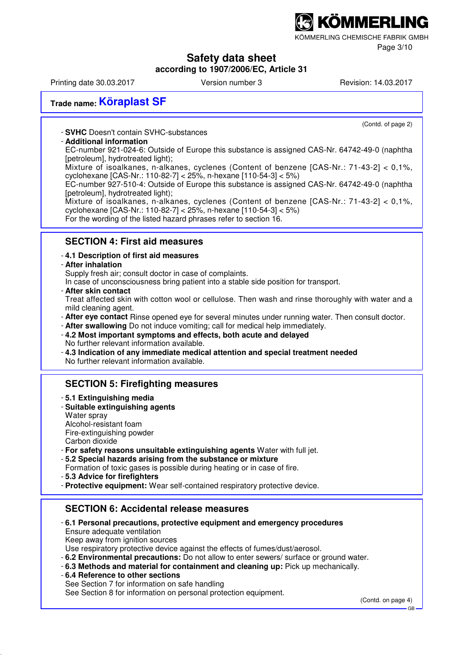KÖMMERLING CHEMISCHE FABRIK GMBH

Page 3/10

## **Safety data sheet**

### **according to 1907/2006/EC, Article 31**

Printing date 30.03.2017 **Version number 3** Revision: 14.03.2017

(Contd. of page 2)

## **Trade name: Köraplast SF**

- **SVHC** Doesn't contain SVHC-substances

#### - **Additional information**

EC-number 921-024-6: Outside of Europe this substance is assigned CAS-Nr. 64742-49-0 (naphtha [petroleum], hydrotreated light);

Mixture of isoalkanes, n-alkanes, cyclenes (Content of benzene [CAS-Nr.: 71-43-2] < 0,1%, cyclohexane [CAS-Nr.: 110-82-7] < 25%, n-hexane [110-54-3] < 5%)

EC-number 927-510-4: Outside of Europe this substance is assigned CAS-Nr. 64742-49-0 (naphtha [petroleum], hydrotreated light);

Mixture of isoalkanes, n-alkanes, cyclenes (Content of benzene [CAS-Nr.: 71-43-2] < 0,1%, cyclohexane [CAS-Nr.: 110-82-7] < 25%, n-hexane [110-54-3] < 5%)

For the wording of the listed hazard phrases refer to section 16.

#### **SECTION 4: First aid measures**

#### - **4.1 Description of first aid measures**

#### - **After inhalation**

Supply fresh air; consult doctor in case of complaints.

In case of unconsciousness bring patient into a stable side position for transport.

- **After skin contact**

Treat affected skin with cotton wool or cellulose. Then wash and rinse thoroughly with water and a mild cleaning agent.

- **After eye contact** Rinse opened eye for several minutes under running water. Then consult doctor.
- **After swallowing** Do not induce vomiting; call for medical help immediately.
- **4.2 Most important symptoms and effects, both acute and delayed** No further relevant information available.
- **4.3 Indication of any immediate medical attention and special treatment needed** No further relevant information available.

#### **SECTION 5: Firefighting measures**

- **5.1 Extinguishing media**
- **Suitable extinguishing agents** Water spray Alcohol-resistant foam

Fire-extinguishing powder Carbon dioxide

- **For safety reasons unsuitable extinguishing agents** Water with full jet.
- **5.2 Special hazards arising from the substance or mixture**

Formation of toxic gases is possible during heating or in case of fire.

- **5.3 Advice for firefighters**
- **Protective equipment:** Wear self-contained respiratory protective device.

#### **SECTION 6: Accidental release measures**

- **6.1 Personal precautions, protective equipment and emergency procedures** Ensure adequate ventilation Keep away from jonition sources Use respiratory protective device against the effects of fumes/dust/aerosol.
- **6.2 Environmental precautions:** Do not allow to enter sewers/ surface or ground water.
- **6.3 Methods and material for containment and cleaning up:** Pick up mechanically.

- **6.4 Reference to other sections** See Section 7 for information on safe handling See Section 8 for information on personal protection equipment.

(Contd. on page 4)

GB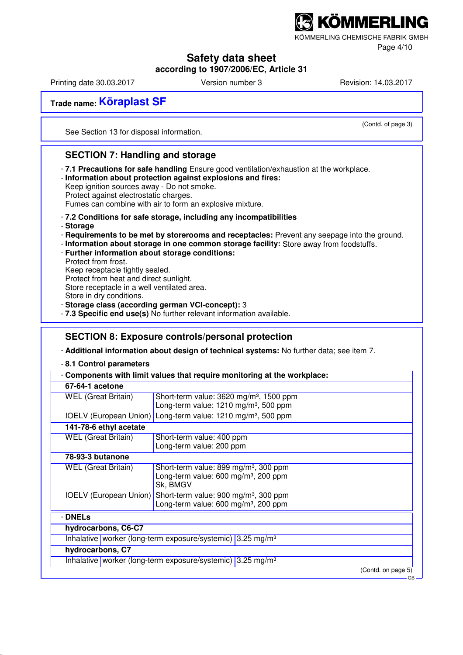KÖMMERLING CHEMISCHE FABRIK GMBH

Page 4/10

## **Safety data sheet**

### **according to 1907/2006/EC, Article 31**

Printing date 30.03.2017 **Version number 3** Revision: 14.03.2017

(Contd. of page 3)

GB

**Trade name: Köraplast SF**

See Section 13 for disposal information.

### **SECTION 7: Handling and storage**

- **7.1 Precautions for safe handling** Ensure good ventilation/exhaustion at the workplace.
- **Information about protection against explosions and fires:**

Keep ignition sources away - Do not smoke. Protect against electrostatic charges.

Fumes can combine with air to form an explosive mixture.

#### - **7.2 Conditions for safe storage, including any incompatibilities**

- **Storage**

- **Requirements to be met by storerooms and receptacles:** Prevent any seepage into the ground.
- **Information about storage in one common storage facility:** Store away from foodstuffs.
- **Further information about storage conditions:**

Protect from frost. Keep receptacle tightly sealed.

Protect from heat and direct sunlight.

Store receptacle in a well ventilated area.

Store in dry conditions.

- **Storage class (according german VCI-concept):** 3

- **7.3 Specific end use(s)** No further relevant information available.

#### **SECTION 8: Exposure controls/personal protection**

- **Additional information about design of technical systems:** No further data; see item 7.

- **8.1 Control parameters**

|                            | Components with limit values that require monitoring at the workplace:                                                       |  |  |  |  |
|----------------------------|------------------------------------------------------------------------------------------------------------------------------|--|--|--|--|
| 67-64-1 acetone            |                                                                                                                              |  |  |  |  |
| <b>WEL</b> (Great Britain) | Short-term value: 3620 mg/m <sup>3</sup> , 1500 ppm<br>Long-term value: 1210 mg/m <sup>3</sup> , 500 ppm                     |  |  |  |  |
|                            | IOELV (European Union) Long-term value: 1210 mg/m <sup>3</sup> , 500 ppm                                                     |  |  |  |  |
| 141-78-6 ethyl acetate     |                                                                                                                              |  |  |  |  |
| <b>WEL</b> (Great Britain) | Short-term value: 400 ppm<br>Long-term value: 200 ppm                                                                        |  |  |  |  |
| 78-93-3 butanone           |                                                                                                                              |  |  |  |  |
| <b>WEL</b> (Great Britain) | Short-term value: 899 mg/m <sup>3</sup> , 300 ppm<br>Long-term value: $600 \text{ mg/m}^3$ , 200 ppm<br>Sk, BMGV             |  |  |  |  |
|                            | IOELV (European Union) Short-term value: 900 mg/m <sup>3</sup> , 300 ppm<br>Long-term value: 600 mg/m <sup>3</sup> , 200 ppm |  |  |  |  |
| - DNELs                    |                                                                                                                              |  |  |  |  |
| hydrocarbons, C6-C7        |                                                                                                                              |  |  |  |  |
|                            | Inhalative worker (long-term exposure/systemic) 3.25 mg/m <sup>3</sup>                                                       |  |  |  |  |
| hydrocarbons, C7           |                                                                                                                              |  |  |  |  |
|                            | Inhalative worker (long-term exposure/systemic) 3.25 mg/m <sup>3</sup>                                                       |  |  |  |  |
|                            | (Contd. on page 5)                                                                                                           |  |  |  |  |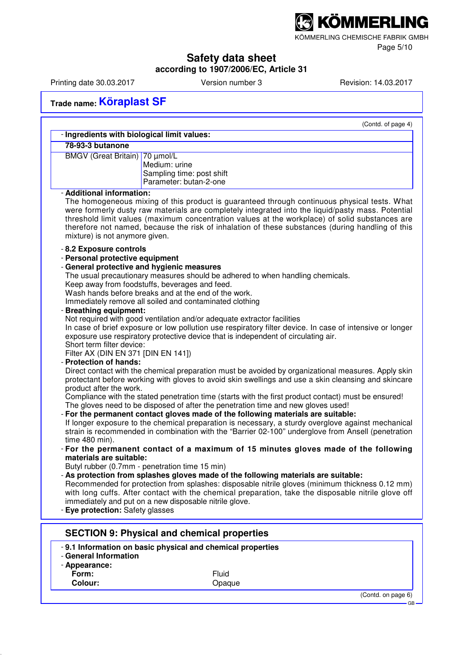KÖMMERLING CHEMISCHE FABRIK GMBH

Page 5/10

## **Safety data sheet**

**according to 1907/2006/EC, Article 31**

Printing date 30.03.2017 Version number 3 Revision: 14.03.2017

**Trade name: Köraplast SF**

|                                             | (Contd. of page 4)                                                                                       |
|---------------------------------------------|----------------------------------------------------------------------------------------------------------|
| - Ingredients with biological limit values: |                                                                                                          |
| 78-93-3 butanone                            |                                                                                                          |
| BMGV (Great Britain) 70 µmol/L              |                                                                                                          |
|                                             | Medium: urine                                                                                            |
|                                             | Sampling time: post shift                                                                                |
|                                             | Parameter: butan-2-one                                                                                   |
| - Additional information:                   |                                                                                                          |
|                                             | The homogeneous mixing of this product is guaranteed through continuous physical tests. What             |
|                                             | were formerly dusty raw materials are completely integrated into the liquid/pasty mass. Potential        |
|                                             | threshold limit values (maximum concentration values at the workplace) of solid substances are           |
|                                             | therefore not named, because the risk of inhalation of these substances (during handling of this         |
| mixture) is not anymore given.              |                                                                                                          |
| - 8.2 Exposure controls                     |                                                                                                          |
| - Personal protective equipment             |                                                                                                          |
|                                             | - General protective and hygienic measures                                                               |
|                                             | The usual precautionary measures should be adhered to when handling chemicals.                           |
|                                             | Keep away from foodstuffs, beverages and feed.                                                           |
|                                             | Wash hands before breaks and at the end of the work.                                                     |
|                                             | Immediately remove all soiled and contaminated clothing                                                  |
| - Breathing equipment:                      |                                                                                                          |
|                                             | Not required with good ventilation and/or adequate extractor facilities                                  |
|                                             | In case of brief exposure or low pollution use respiratory filter device. In case of intensive or longer |
| Short term filter device:                   | exposure use respiratory protective device that is independent of circulating air.                       |
| Filter AX (DIN EN 371 [DIN EN 141])         |                                                                                                          |
| - Protection of hands:                      |                                                                                                          |
|                                             | Direct contact with the chemical preparation must be avoided by organizational measures. Apply skin      |
|                                             | protectant before working with gloves to avoid skin swellings and use a skin cleansing and skincare      |
| product after the work.                     |                                                                                                          |
|                                             | Compliance with the stated penetration time (starts with the first product contact) must be ensured!     |
|                                             | The gloves need to be disposed of after the penetration time and new gloves used!                        |
|                                             | - For the permanent contact gloves made of the following materials are suitable:                         |
|                                             | If longer exposure to the chemical preparation is necessary, a sturdy overglove against mechanical       |
|                                             | strain is recommended in combination with the "Barrier 02-100" underglove from Ansell (penetration       |
| time 480 min).                              |                                                                                                          |
|                                             | - For the permanent contact of a maximum of 15 minutes gloves made of the following                      |
| materials are suitable:                     |                                                                                                          |
|                                             | Butyl rubber (0.7mm - penetration time 15 min)                                                           |
|                                             | - As protection from splashes gloves made of the following materials are suitable:                       |
|                                             | Recommended for protection from splashes: disposable nitrile gloves (minimum thickness 0.12 mm)          |
|                                             | with long cuffs. After contact with the chemical preparation, take the disposable nitrile glove off      |
|                                             | immediately and put on a new disposable nitrile glove.                                                   |
| - Eye protection: Safety glasses            |                                                                                                          |
|                                             |                                                                                                          |
|                                             | <b>SECTION 9: Physical and chemical properties</b>                                                       |
|                                             | -9.1 Information on basic physical and chemical properties                                               |
| - General Information                       |                                                                                                          |
| - Appearance:                               |                                                                                                          |
| Form:                                       | Fluid                                                                                                    |
| Colour:                                     | Opaque                                                                                                   |
|                                             | (Contd. on page 6)                                                                                       |
|                                             |                                                                                                          |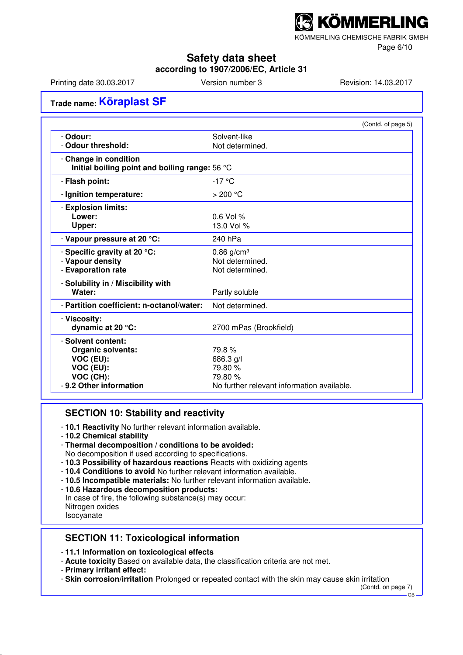KÖMMERLING CHEMISCHE FABRIK GMBH

Page 6/10

### **Safety data sheet**

**according to 1907/2006/EC, Article 31**

Printing date 30.03.2017 **Version number 3** Revision: 14.03.2017

## **Trade name: Köraplast SF**

|                                                                         | (Contd. of page 5)                         |
|-------------------------------------------------------------------------|--------------------------------------------|
| - Odour:                                                                | Solvent-like                               |
| - Odour threshold:                                                      | Not determined.                            |
| - Change in condition<br>Initial boiling point and boiling range: 56 °C |                                            |
| - Flash point:                                                          | $-17°C$                                    |
| - Ignition temperature:                                                 | $>200$ °C                                  |
| - Explosion limits:                                                     |                                            |
| Lower:                                                                  | $0.6$ Vol %                                |
| Upper:                                                                  | 13.0 Vol %                                 |
| - Vapour pressure at 20 °C:                                             | 240 hPa                                    |
| - Specific gravity at 20 °C:                                            | $0.86$ g/cm <sup>3</sup>                   |
| - Vapour density                                                        | Not determined.                            |
| - Evaporation rate                                                      | Not determined.                            |
| - Solubility in / Miscibility with                                      |                                            |
| Water:                                                                  | Partly soluble                             |
| - Partition coefficient: n-octanol/water:                               | Not determined.                            |
| - Viscosity:                                                            |                                            |
| dynamic at 20 °C:                                                       | 2700 mPas (Brookfield)                     |
| - Solvent content:                                                      |                                            |
| <b>Organic solvents:</b>                                                | 79.8%                                      |
| VOC (EU):                                                               | 686.3 g/l                                  |
| VOC (EU):                                                               | 79.80 %                                    |
| VOC (CH):                                                               | 79.80 %                                    |
| - 9.2 Other information                                                 | No further relevant information available. |

#### **SECTION 10: Stability and reactivity**

- **10.1 Reactivity** No further relevant information available.
- **10.2 Chemical stability**
- **Thermal decomposition / conditions to be avoided:**
- No decomposition if used according to specifications.
- **10.3 Possibility of hazardous reactions** Reacts with oxidizing agents
- **10.4 Conditions to avoid** No further relevant information available.
- **10.5 Incompatible materials:** No further relevant information available.
- **10.6 Hazardous decomposition products:**

In case of fire, the following substance(s) may occur: Nitrogen oxides Isocyanate

### **SECTION 11: Toxicological information**

- **11.1 Information on toxicological effects**
- **Acute toxicity** Based on available data, the classification criteria are not met.
- **Primary irritant effect:**
- **Skin corrosion/irritation** Prolonged or repeated contact with the skin may cause skin irritation

(Contd. on page 7)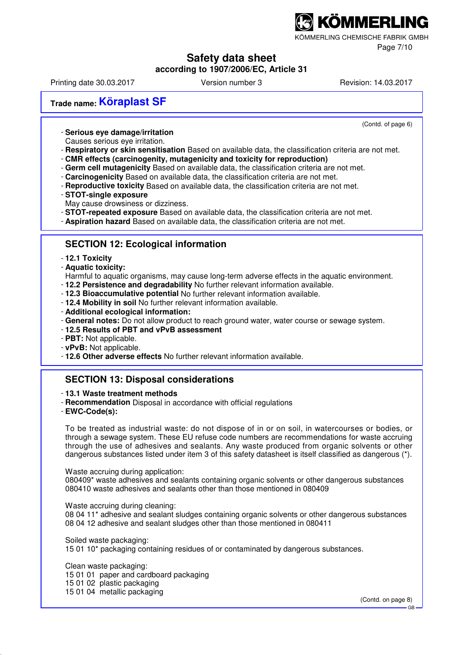KÖMMERLING CHEMISCHE FABRIK GMBH

Page 7/10

## **Safety data sheet**

**according to 1907/2006/EC, Article 31**

Printing date 30.03.2017 **Version number 3** Revision: 14.03.2017

(Contd. of page 6)

**Trade name: Köraplast SF**

- **Serious eye damage/irritation**

- Causes serious eye irritation.
- **Respiratory or skin sensitisation** Based on available data, the classification criteria are not met.
- **CMR effects (carcinogenity, mutagenicity and toxicity for reproduction)**
- **Germ cell mutagenicity** Based on available data, the classification criteria are not met.
- **Carcinogenicity** Based on available data, the classification criteria are not met.
- **Reproductive toxicity** Based on available data, the classification criteria are not met.
- **STOT-single exposure** May cause drowsiness or dizziness.
- **STOT-repeated exposure** Based on available data, the classification criteria are not met.
- **Aspiration hazard** Based on available data, the classification criteria are not met.

#### **SECTION 12: Ecological information**

- **12.1 Toxicity**
- **Aquatic toxicity:**

Harmful to aquatic organisms, may cause long-term adverse effects in the aquatic environment.

- **12.2 Persistence and degradability** No further relevant information available.
- **12.3 Bioaccumulative potential** No further relevant information available.
- **12.4 Mobility in soil** No further relevant information available.
- **Additional ecological information:**
- **General notes:** Do not allow product to reach ground water, water course or sewage system.
- **12.5 Results of PBT and vPvB assessment**
- **PBT:** Not applicable.
- **vPvB:** Not applicable.
- **12.6 Other adverse effects** No further relevant information available.

### **SECTION 13: Disposal considerations**

- **13.1 Waste treatment methods**

- **Recommendation** Disposal in accordance with official regulations
- **EWC-Code(s):**

To be treated as industrial waste: do not dispose of in or on soil, in watercourses or bodies, or through a sewage system. These EU refuse code numbers are recommendations for waste accruing through the use of adhesives and sealants. Any waste produced from organic solvents or other dangerous substances listed under item 3 of this safety datasheet is itself classified as dangerous (\*).

Waste accruing during application:

080409\* waste adhesives and sealants containing organic solvents or other dangerous substances 080410 waste adhesives and sealants other than those mentioned in 080409

Waste accruing during cleaning:

08 04 11\* adhesive and sealant sludges containing organic solvents or other dangerous substances 08 04 12 adhesive and sealant sludges other than those mentioned in 080411

Soiled waste packaging:

15 01 10\* packaging containing residues of or contaminated by dangerous substances.

Clean waste packaging:

15 01 01 paper and cardboard packaging

15 01 02 plastic packaging

15 01 04 metallic packaging

(Contd. on page 8)

GB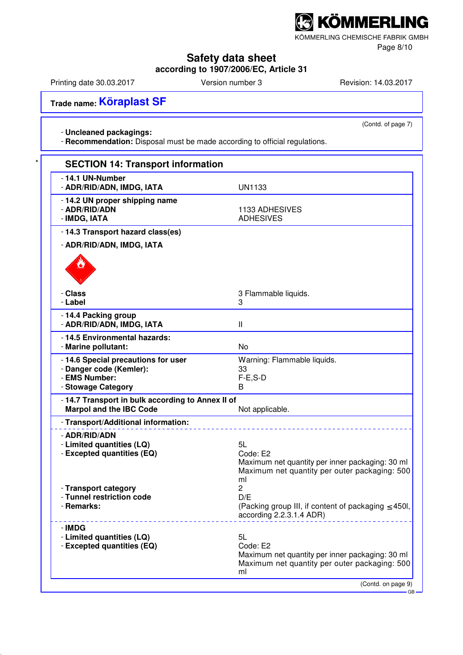KÖMMERLING CHEMISCHE FABRIK GMBH

Page 8/10

## **Safety data sheet**

**according to 1907/2006/EC, Article 31**

Printing date 30.03.2017 Version number 3 Revision: 14.03.2017

(Contd. of page 7)

**Trade name: Köraplast SF**

#### - **Uncleaned packagings:**

- **Recommendation:** Disposal must be made according to official regulations.

| - 14.1 UN-Number<br>- ADR/RID/ADN, IMDG, IATA                                                         | <b>UN1133</b>                                                                                                            |
|-------------------------------------------------------------------------------------------------------|--------------------------------------------------------------------------------------------------------------------------|
| - 14.2 UN proper shipping name<br>- ADR/RID/ADN<br>- IMDG, IATA                                       | 1133 ADHESIVES<br><b>ADHESIVES</b>                                                                                       |
| - 14.3 Transport hazard class(es)                                                                     |                                                                                                                          |
| - ADR/RID/ADN, IMDG, IATA                                                                             |                                                                                                                          |
|                                                                                                       |                                                                                                                          |
| - Class<br>- Label                                                                                    | 3 Flammable liquids.<br>3                                                                                                |
| -14.4 Packing group<br>- ADR/RID/ADN, IMDG, IATA                                                      | $\mathsf{II}$                                                                                                            |
| -14.5 Environmental hazards:<br>- Marine pollutant:                                                   | <b>No</b>                                                                                                                |
| - 14.6 Special precautions for user<br>- Danger code (Kemler):<br>- EMS Number:<br>- Stowage Category | Warning: Flammable liquids.<br>33<br>$F-E$ , $S-D$<br>В                                                                  |
| - 14.7 Transport in bulk according to Annex II of<br><b>Marpol and the IBC Code</b>                   | Not applicable.                                                                                                          |
| - Transport/Additional information:                                                                   |                                                                                                                          |
| - ADR/RID/ADN<br>- Limited quantities (LQ)<br>- Excepted quantities (EQ)                              | 5L<br>Code: E2<br>Maximum net quantity per inner packaging: 30 ml<br>Maximum net quantity per outer packaging: 500<br>ml |
| - Transport category<br>- Tunnel restriction code<br>- Remarks:                                       | 2<br>D/E<br>(Packing group III, if content of packaging ≤ 450l,<br>according 2.2.3.1.4 ADR)                              |
| - IMDG<br>- Limited quantities (LQ)<br>- Excepted quantities (EQ)                                     | 5L<br>Code: E2<br>Maximum net quantity per inner packaging: 30 ml<br>Maximum net quantity per outer packaging: 500<br>ml |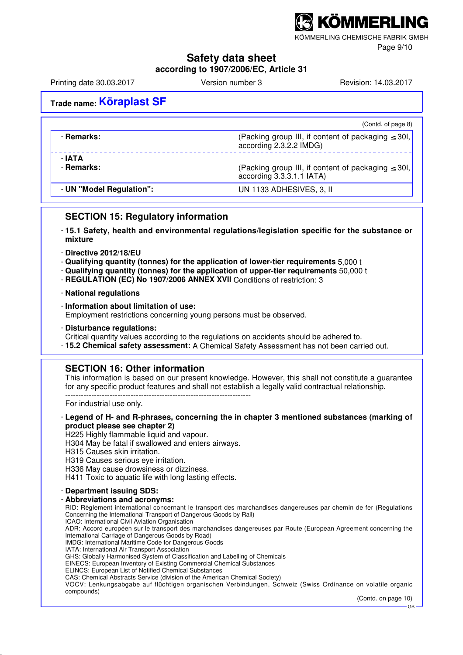KÖMMERLING CHEMISCHE FABRIK GMBH

Page 9/10

#### **Safety data sheet**

**according to 1907/2006/EC, Article 31**

Printing date 30.03.2017 **Version number 3** Revision: 14.03.2017

## **Trade name: Köraplast SF**

|                          | (Contd. of page 8)                                                                   |
|--------------------------|--------------------------------------------------------------------------------------|
| - Remarks:               | (Packing group III, if content of packaging $\leq$ 30I,<br>according 2.3.2.2 IMDG)   |
| - IATA<br>- Remarks:     | (Packing group III, if content of packaging $\leq$ 30l,<br>according 3.3.3.1.1 IATA) |
| - UN "Model Regulation": | UN 1133 ADHESIVES, 3, II                                                             |

#### **SECTION 15: Regulatory information**

- **15.1 Safety, health and environmental regulations/legislation specific for the substance or mixture**
- **Directive 2012/18/EU**
- **Qualifying quantity (tonnes) for the application of lower-tier requirements** 5,000 t
- **Qualifying quantity (tonnes) for the application of upper-tier requirements** 50,000 t
- **REGULATION (EC) No 1907/2006 ANNEX XVII** Conditions of restriction: 3
- **National regulations**
- **Information about limitation of use:** Employment restrictions concerning young persons must be observed.
- **Disturbance regulations:**
- Critical quantity values according to the regulations on accidents should be adhered to.
- **15.2 Chemical safety assessment:** A Chemical Safety Assessment has not been carried out.

#### **SECTION 16: Other information**

This information is based on our present knowledge. However, this shall not constitute a guarantee for any specific product features and shall not establish a legally valid contractual relationship. -----------------------------------------------------------------------

For industrial use only.

- **Legend of H- and R-phrases, concerning the in chapter 3 mentioned substances (marking of product please see chapter 2)** H225 Highly flammable liquid and vapour. H304 May be fatal if swallowed and enters airways. H315 Causes skin irritation. H319 Causes serious eye irritation. H336 May cause drowsiness or dizziness. H411 Toxic to aquatic life with long lasting effects. - **Department issuing SDS:** - **Abbreviations and acronyms:** RID: Règlement international concernant le transport des marchandises dangereuses par chemin de fer (Regulations Concerning the International Transport of Dangerous Goods by Rail) ICAO: International Civil Aviation Organisation ADR: Accord européen sur le transport des marchandises dangereuses par Route (European Agreement concerning the International Carriage of Dangerous Goods by Road) IMDG: International Maritime Code for Dangerous Goods IATA: International Air Transport Association GHS: Globally Harmonised System of Classification and Labelling of Chemicals EINECS: European Inventory of Existing Commercial Chemical Substances ELINCS: European List of Notified Chemical Substances CAS: Chemical Abstracts Service (division of the American Chemical Society) VOCV: Lenkungsabgabe auf flüchtigen organischen Verbindungen, Schweiz (Swiss Ordinance on volatile organic compounds)

(Contd. on page 10)

GB